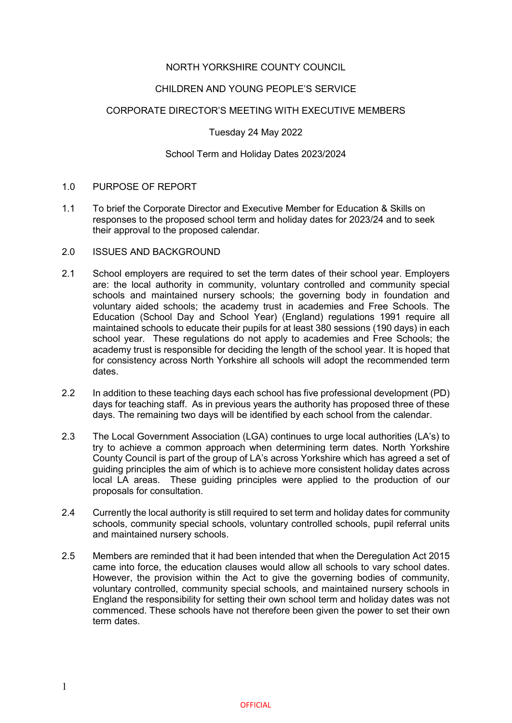## NORTH YORKSHIRE COUNTY COUNCIL

## CHILDREN AND YOUNG PEOPLE'S SERVICE

## CORPORATE DIRECTOR'S MEETING WITH EXECUTIVE MEMBERS

## Tuesday 24 May 2022

## School Term and Holiday Dates 2023/2024

## 1.0 PURPOSE OF REPORT

1.1 To brief the Corporate Director and Executive Member for Education & Skills on responses to the proposed school term and holiday dates for 2023/24 and to seek their approval to the proposed calendar.

## 2.0 ISSUES AND BACKGROUND

- 2.1 School employers are required to set the term dates of their school year. Employers are: the local authority in community, voluntary controlled and community special schools and maintained nursery schools; the governing body in foundation and voluntary aided schools; the academy trust in academies and Free Schools. The Education (School Day and School Year) (England) regulations 1991 require all maintained schools to educate their pupils for at least 380 sessions (190 days) in each school year. These regulations do not apply to academies and Free Schools; the academy trust is responsible for deciding the length of the school year. It is hoped that for consistency across North Yorkshire all schools will adopt the recommended term dates.
- 2.2 In addition to these teaching days each school has five professional development (PD) days for teaching staff. As in previous years the authority has proposed three of these days. The remaining two days will be identified by each school from the calendar.
- 2.3 The Local Government Association (LGA) continues to urge local authorities (LA's) to try to achieve a common approach when determining term dates. North Yorkshire County Council is part of the group of LA's across Yorkshire which has agreed a set of guiding principles the aim of which is to achieve more consistent holiday dates across local LA areas. These guiding principles were applied to the production of our proposals for consultation.
- 2.4 Currently the local authority is still required to set term and holiday dates for community schools, community special schools, voluntary controlled schools, pupil referral units and maintained nursery schools.
- 2.5 Members are reminded that it had been intended that when the Deregulation Act 2015 came into force, the education clauses would allow all schools to vary school dates. However, the provision within the Act to give the governing bodies of community, voluntary controlled, community special schools, and maintained nursery schools in England the responsibility for setting their own school term and holiday dates was not commenced. These schools have not therefore been given the power to set their own term dates.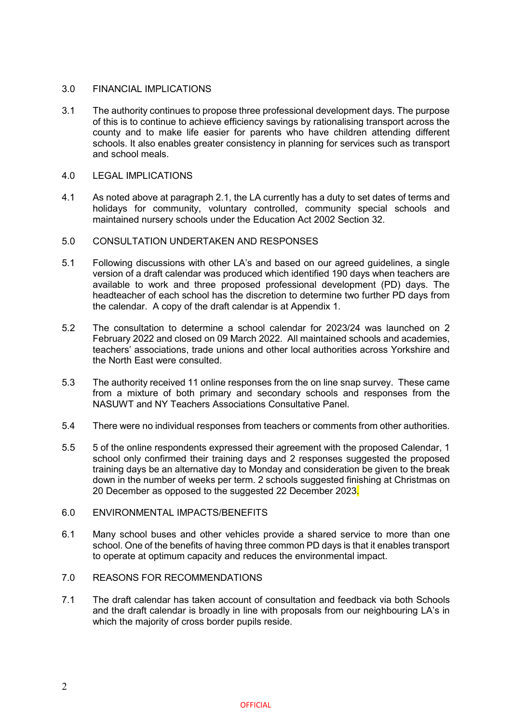## 3.0 FINANCIAL IMPLICATIONS

3.1 The authority continues to propose three professional development days. The purpose of this is to continue to achieve efficiency savings by rationalising transport across the county and to make life easier for parents who have children attending different schools. It also enables greater consistency in planning for services such as transport and school meals.

## 4.0 LEGAL IMPLICATIONS

4.1 As noted above at paragraph 2.1, the LA currently has a duty to set dates of terms and holidays for community, voluntary controlled, community special schools and maintained nursery schools under the Education Act 2002 Section 32.

## 5.0 CONSULTATION UNDERTAKEN AND RESPONSES

- 5.1 Following discussions with other LA's and based on our agreed guidelines, a single version of a draft calendar was produced which identified 190 days when teachers are available to work and three proposed professional development (PD) days. The headteacher of each school has the discretion to determine two further PD days from the calendar. A copy of the draft calendar is at Appendix 1.
- 5.2 The consultation to determine a school calendar for 2023/24 was launched on 2 February 2022 and closed on 09 March 2022. All maintained schools and academies, teachers' associations, trade unions and other local authorities across Yorkshire and the North East were consulted.
- 5.3 The authority received 11 online responses from the on line snap survey. These came from a mixture of both primary and secondary schools and responses from the NASUWT and NY Teachers Associations Consultative Panel.
- 5.4 There were no individual responses from teachers or comments from other authorities.
- 5.5 5 of the online respondents expressed their agreement with the proposed Calendar, 1 school only confirmed their training days and 2 responses suggested the proposed training days be an alternative day to Monday and consideration be given to the break down in the number of weeks per term. 2 schools suggested finishing at Christmas on 20 December as opposed to the suggested 22 December 2023.

## 6.0 ENVIRONMENTAL IMPACTS/BENEFITS

6.1 Many school buses and other vehicles provide a shared service to more than one school. One of the benefits of having three common PD days is that it enables transport to operate at optimum capacity and reduces the environmental impact.

## 7.0 REASONS FOR RECOMMENDATIONS

7.1 The draft calendar has taken account of consultation and feedback via both Schools and the draft calendar is broadly in line with proposals from our neighbouring LA's in which the majority of cross border pupils reside.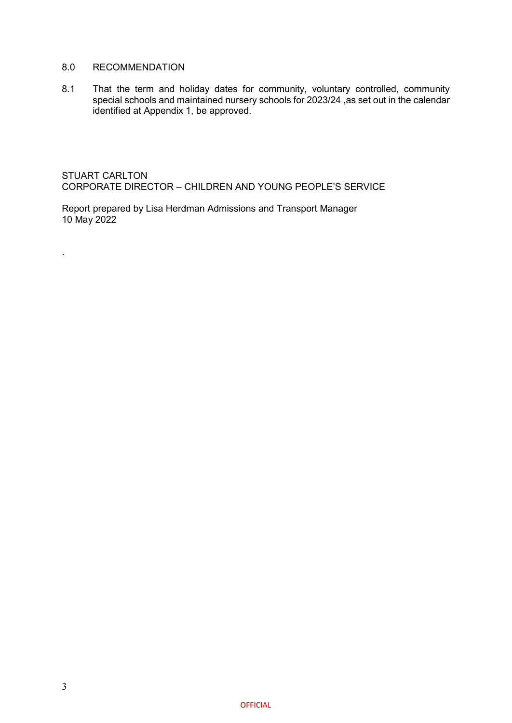## 8.0 RECOMMENDATION

8.1 That the term and holiday dates for community, voluntary controlled, community special schools and maintained nursery schools for 2023/24 ,as set out in the calendar identified at Appendix 1, be approved.

STUART CARLTON CORPORATE DIRECTOR – CHILDREN AND YOUNG PEOPLE'S SERVICE

Report prepared by Lisa Herdman Admissions and Transport Manager 10 May 2022

.